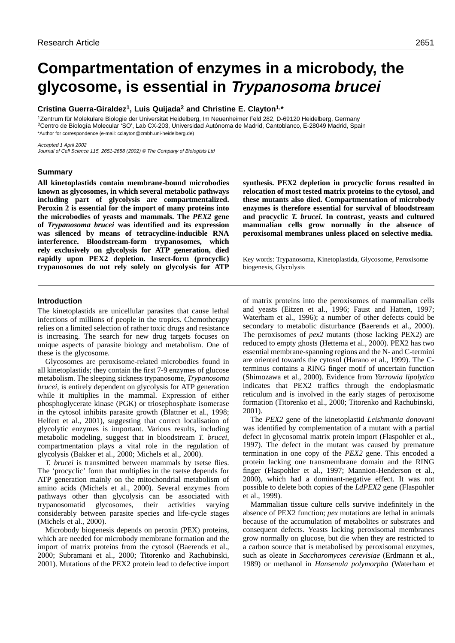# **Compartmentation of enzymes in a microbody, the glycosome, is essential in Trypanosoma brucei**

## **Cristina Guerra-Giraldez1, Luis Quijada2 and Christine E. Clayton1,\***

1Zentrum für Molekulare Biologie der Universität Heidelberg, Im Neuenheimer Feld 282, D-69120 Heidelberg, Germany 2Centro de Biología Molecular 'SO', Lab CX-203, Universidad Autónoma de Madrid, Cantoblanco, E-28049 Madrid, Spain \*Author for correspondence (e-mail: cclayton@zmbh.uni-heidelberg.de)

Accepted 1 April 2002 Journal of Cell Science 115, 2651-2658 (2002) © The Company of Biologists Ltd

## **Summary**

**All kinetoplastids contain membrane-bound microbodies known as glycosomes, in which several metabolic pathways including part of glycolysis are compartmentalized. Peroxin 2 is essential for the import of many proteins into the microbodies of yeasts and mammals. The** *PEX2* **gene of** *Trypanosoma brucei* **was identified and its expression was silenced by means of tetracycline-inducible RNA interference. Bloodstream-form trypanosomes, which rely exclusively on glycolysis for ATP generation, died rapidly upon PEX2 depletion. Insect-form (procyclic) trypanosomes do not rely solely on glycolysis for ATP** **synthesis. PEX2 depletion in procyclic forms resulted in relocation of most tested matrix proteins to the cytosol, and these mutants also died. Compartmentation of microbody enzymes is therefore essential for survival of bloodstream and procyclic** *T. brucei***. In contrast, yeasts and cultured mammalian cells grow normally in the absence of peroxisomal membranes unless placed on selective media.**

Key words: Trypanosoma, Kinetoplastida, Glycosome, Peroxisome biogenesis, Glycolysis

## **Introduction**

The kinetoplastids are unicellular parasites that cause lethal infections of millions of people in the tropics. Chemotherapy relies on a limited selection of rather toxic drugs and resistance is increasing. The search for new drug targets focuses on unique aspects of parasite biology and metabolism. One of these is the glycosome.

Glycosomes are peroxisome-related microbodies found in all kinetoplastids; they contain the first 7-9 enzymes of glucose metabolism. The sleeping sickness trypanosome, *Trypanosoma brucei*, is entirely dependent on glycolysis for ATP generation while it multiplies in the mammal. Expression of either phosphoglycerate kinase (PGK) or triosephosphate isomerase in the cytosol inhibits parasite growth (Blattner et al., 1998; Helfert et al., 2001), suggesting that correct localisation of glycolytic enzymes is important. Various results, including metabolic modeling, suggest that in bloodstream *T. brucei*, compartmentation plays a vital role in the regulation of glycolysis (Bakker et al., 2000; Michels et al., 2000).

*T. brucei* is transmitted between mammals by tsetse flies. The 'procyclic' form that multiplies in the tsetse depends for ATP generation mainly on the mitochondrial metabolism of amino acids (Michels et al., 2000). Several enzymes from pathways other than glycolysis can be associated with trypanosomatid glycosomes, their activities varying considerably between parasite species and life-cycle stages (Michels et al., 2000).

Microbody biogenesis depends on peroxin (PEX) proteins, which are needed for microbody membrane formation and the import of matrix proteins from the cytosol (Baerends et al., 2000; Subramani et al., 2000; Titorenko and Rachubinski, 2001). Mutations of the PEX2 protein lead to defective import of matrix proteins into the peroxisomes of mammalian cells and yeasts (Eitzen et al., 1996; Faust and Hatten, 1997; Waterham et al., 1996); a number of other defects could be secondary to metabolic disturbance (Baerends et al., 2000). The peroxisomes of *pex2* mutants (those lacking PEX2) are reduced to empty ghosts (Hettema et al., 2000). PEX2 has two essential membrane-spanning regions and the N- and C-termini are oriented towards the cytosol (Harano et al., 1999). The Cterminus contains a RING finger motif of uncertain function (Shimozawa et al., 2000). Evidence from *Yarrowia lipolytica* indicates that PEX2 traffics through the endoplasmatic reticulum and is involved in the early stages of peroxisome formation (Titorenko et al., 2000; Titorenko and Rachubinski, 2001).

The *PEX2* gene of the kinetoplastid *Leishmania donovani* was identified by complementation of a mutant with a partial defect in glycosomal matrix protein import (Flaspohler et al., 1997). The defect in the mutant was caused by premature termination in one copy of the *PEX2* gene. This encoded a protein lacking one transmembrane domain and the RING finger (Flaspohler et al., 1997; Mannion-Henderson et al., 2000), which had a dominant-negative effect. It was not possible to delete both copies of the *LdPEX2* gene (Flaspohler et al., 1999).

Mammalian tissue culture cells survive indefinitely in the absence of PEX2 function; *pex* mutations are lethal in animals because of the accumulation of metabolites or substrates and consequent defects. Yeasts lacking peroxisomal membranes grow normally on glucose, but die when they are restricted to a carbon source that is metabolised by peroxisomal enzymes, such as oleate in *Saccharomyces cerevisiae* (Erdmann et al., 1989) or methanol in *Hansenula polymorpha* (Waterham et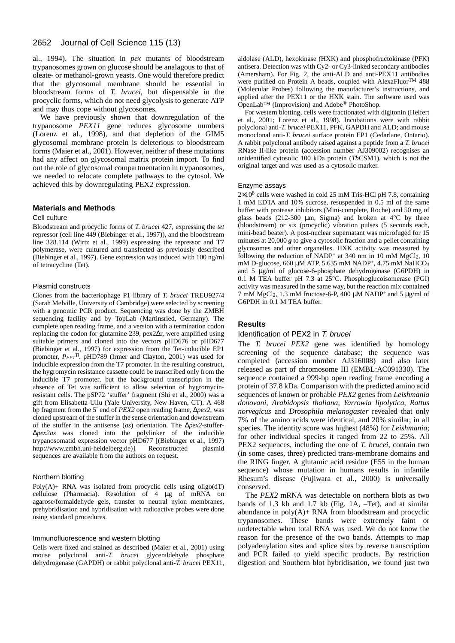al., 1994). The situation in *pex* mutants of bloodstream trypanosomes grown on glucose should be analagous to that of oleate- or methanol-grown yeasts. One would therefore predict that the glycosomal membrane should be essential in bloodstream forms of *T. brucei*, but dispensable in the procyclic forms, which do not need glycolysis to generate ATP and may thus cope without glycosomes.

We have previously shown that downregulation of the trypanosome *PEX11* gene reduces glycosome numbers (Lorenz et al., 1998), and that depletion of the GIM5 glycosomal membrane protein is deleterious to bloodstream forms (Maier et al., 2001). However, neither of these mutations had any affect on glycosomal matrix protein import. To find out the role of glycosomal compartmentation in trypanosomes, we needed to relocate complete pathways to the cytosol. We achieved this by downregulating PEX2 expression.

## **Materials and Methods**

## Cell culture

Bloodstream and procyclic forms of *T. brucei* 427, expressing the *tet* repressor (cell line 449 (Biebinger et al., 1997)), and the bloodstream line 328.114 (Wirtz et al., 1999) expressing the repressor and T7 polymerase, were cultured and transfected as previously described (Biebinger et al., 1997). Gene expression was induced with 100 ng/ml of tetracycline (Tet).

### Plasmid constructs

Clones from the bacteriophage P1 library of *T. brucei* TREU927/4 (Sarah Melville, University of Cambridge) were selected by screening with a genomic PCR product. Sequencing was done by the ZMBH sequencing facility and by TopLab (Martinsried, Germany). The complete open reading frame, and a version with a termination codon replacing the codon for glutamine 239, pex2∆r, were amplified using suitable primers and cloned into the vectors pHD676 or pHD677 (Biebinger et al., 1997) for expression from the Tet-inducible EP1 promoter,  $P_{EPI}^{Ti}$ . pHD789 (Irmer and Clayton, 2001) was used for inducible expression from the T7 promoter. In the resulting construct, the hygromycin resistance cassette could be transcribed only from the inducible T7 promoter, but the background transcription in the absence of Tet was sufficient to allow selection of hygromycinresistant cells. The pSP72 'stuffer' fragment (Shi et al., 2000) was a gift from Elisabetta Ullu (Yale University, New Haven, CT). A 468 bp fragment from the 5′ end of *PEX2* open reading frame, ∆*pex2*, was cloned upstream of the stuffer in the sense orientation and downstream of the stuffer in the antisense (*as*) orientation. The ∆*pex2*-stuffer- ∆*pex2as* was cloned into the polylinker of the inducible trypanosomatid expression vector pHD677 [(Biebinger et al., 1997) [http://www.zmbh.uni-heidelberg.de\)\]](http://www.zmbh.uni-heidelberg.de)]). Reconstructed plasmid sequences are available from the authors on request.

#### Northern blotting

Poly $(A)$ + RNA was isolated from procyclic cells using oligo $dT$ ) cellulose (Pharmacia). Resolution of 4 µg of mRNA on agarose/formaldehyde gels, transfer to neutral nylon membranes, prehybridisation and hybridisation with radioactive probes were done using standard procedures.

## Immunofluorescence and western blotting

Cells were fixed and stained as described (Maier et al., 2001) using mouse polyclonal anti-*T. brucei* glyceraldehyde phosphate dehydrogenase (GAPDH) or rabbit polyclonal anti-*T. brucei* PEX11,

aldolase (ALD), hexokinase (HXK) and phosphofructokinase (PFK) antisera. Detection was with Cy2- or Cy3-linked secondary antibodies (Amersham). For Fig. 2, the anti-ALD and anti-PEX11 antibodies were purified on Protein A beads, coupled with AlexaFluorTM 488 (Molecular Probes) following the manufacturer's instructions, and applied after the PEX11 or the HXK stain. The software used was OpenLab™ (Improvision) and Adobe® PhotoShop.

For western blotting, cells were fractionated with digitonin (Helfert et al., 2001; Lorenz et al., 1998). Incubations were with rabbit polyclonal anti-*T. brucei* PEX11, PFK, GAPDH and ALD; and mouse monoclonal anti-*T. brucei* surface protein EP1 (Cedarlane, Ontario). A rabbit polyclonal antibody raised against a peptide from a *T. brucei* RNase II-like protein (accession number AJ309002) recognises an unidentified cytosolic 100 kDa protein (*Tb*CSM1), which is not the original target and was used as a cytosolic marker.

#### Enzyme assays

 $2\times10^8$  cells were washed in cold 25 mM Tris-HCl pH 7.8, containing 1 mM EDTA and 10% sucrose, resuspended in 0.5 ml of the same buffer with protease inhibitors (Mini-complete, Roche) and 50 mg of glass beads (212-300  $\mu$ m, Sigma) and broken at 4°C by three (bloodstream) or six (procyclic) vibration pulses (5 seconds each, mini-bead beater). A post-nuclear supernatant was microfuged for 15 minutes at 20,000 **g** to give a cytosolic fraction and a pellet containing glycosomes and other organelles. HXK activity was measured by following the reduction of NADP<sup>+</sup> at 340 nm in 10 mM MgCl<sub>2</sub>, 10 mM D-glucose, 660 μM ATP, 5.635 mM NADP<sup>+</sup>, 4.75 mM NaHCO<sub>3</sub> and 5 µg/ml of glucose-6-phosphate dehydrogenase (G6PDH) in 0.1 M TEA buffer pH 7.3 at  $25^{\circ}$ C. Phosphoglucoisomerase (PGI) activity was measured in the same way, but the reaction mix contained 7 mM MgCl<sub>2</sub>, 1.3 mM fructose-6-P, 400  $\mu$ M NADP<sup>+</sup> and 5  $\mu$ g/ml of G6PDH in 0.1 M TEA buffer.

# **Results**

## Identification of PEX2 in T. brucei

The *T. brucei PEX2* gene was identified by homology screening of the sequence database; the sequence was completed (accession number AJ316008) and also later released as part of chromosome III (EMBL:AC091330). The sequence contained a 999-bp open reading frame encoding a protein of 37.8 kDa. Comparison with the predicted amino acid sequences of known or probable *PEX2* genes from *Leishmania donovani*, *Arabidopsis thaliana*, *Yarrowia lipolytica*, *Rattus norvegicus* and *Drosophila melanogaster* revealed that only 7% of the amino acids were identical, and 20% similar, in all species. The identity score was highest (48%) for *Leishmania*; for other individual species it ranged from 22 to 25%. All PEX2 sequences, including the one of *T. brucei*, contain two (in some cases, three) predicted trans-membrane domains and the RING finger. A glutamic acid residue (E55 in the human sequence) whose mutation in humans results in infantile Rhesum's disease (Fujiwara et al., 2000) is universally conserved.

The *PEX2* mRNA was detectable on northern blots as two bands of 1.3 kb and 1.7 kb (Fig. 1A, –Tet), and at similar abundance in poly(A)+ RNA from bloodstream and procyclic trypanosomes. These bands were extremely faint or undetectable when total RNA was used. We do not know the reason for the presence of the two bands. Attempts to map polyadenylation sites and splice sites by reverse transcription and PCR failed to yield specific products. By restriction digestion and Southern blot hybridisation, we found just two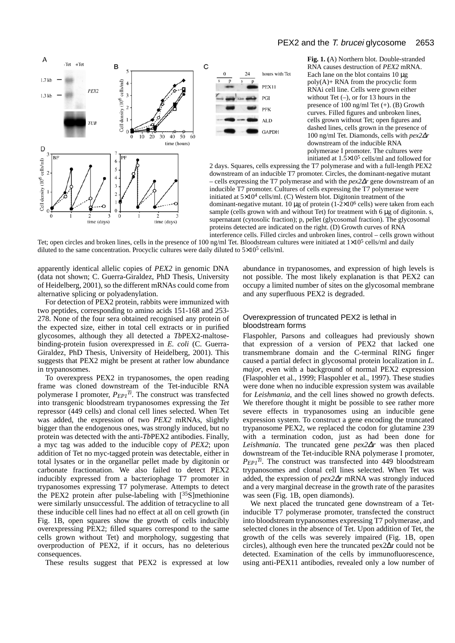



**Fig. 1. (**A) Northern blot. Double-stranded RNA causes destruction of *PEX2* mRNA. Each lane on the blot contains  $10 \mu$ g  $poly(A)$ + RNA from the procyclic form RNAi cell line. Cells were grown either without Tet  $(-)$ , or for 13 hours in the presence of 100 ng/ml Tet (+). (B) Growth curves. Filled figures and unbroken lines, cells grown without Tet; open figures and dashed lines, cells grown in the presence of 100 ng/ml Tet. Diamonds, cells with *pex2*∆*r* downstream of the inducible RNA polymerase I promoter. The cultures were initiated at  $1.5 \times 10^5$  cells/ml and followed for

2 days. Squares, cells expressing the T7 polymerase and with a full-length PEX2 downstream of an inducible T7 promoter. Circles, the dominant-negative mutant – cells expressing the T7 polymerase and with the *pex2*∆*r* gene downstream of an inducible T7 promoter. Cultures of cells expressing the T7 polymerase were initiated at 5×10<sup>4</sup> cells/ml. (C) Western blot. Digitonin treatment of the dominant-negative mutant. 10  $\mu$ g of protein (1-2×10<sup>6</sup> cells) were taken from each sample (cells grown with and without Tet) for treatment with 6 µg of digitonin. s, supernatant (cytosolic fraction); p, pellet (glycosomal fraction). The glycosomal proteins detected are indicated on the right. (D) Growth curves of RNA interference cells. Filled circles and unbroken lines, control – cells grown without

hours with Tet

**PEX11** 

**GAPDH** 

PGI **DEK** AL D

Tet; open circles and broken lines, cells in the presence of 100 ng/ml Tet. Bloodstream cultures were initiated at  $1\times10^5$  cells/ml and daily diluted to the same concentration. Procyclic cultures were daily diluted to  $5\times10^5$  cells/ml.

 $\mathbf C$ 

apparently identical allelic copies of *PEX2* in genomic DNA (data not shown; C. Guerra-Giraldez, PhD Thesis, University of Heidelberg, 2001), so the different mRNAs could come from alternative splicing or polyadenylation.

For detection of PEX2 protein, rabbits were immunized with two peptides, corresponding to amino acids 151-168 and 253- 278. None of the four sera obtained recognised any protein of the expected size, either in total cell extracts or in purified glycosomes, although they all detected a *Tb*PEX2-maltosebinding-protein fusion overexpressed in *E. coli* (C. Guerra-Giraldez, PhD Thesis, University of Heidelberg, 2001). This suggests that PEX2 might be present at rather low abundance in trypanosomes.

To overexpress PEX2 in trypanosomes, the open reading frame was cloned downstream of the Tet-inducible RNA polymerase I promoter, *PEP1Ti*. The construct was transfected into transgenic bloodstream trypanosomes expressing the *Tet* repressor (449 cells) and clonal cell lines selected. When Tet was added, the expression of two *PEX2* mRNAs, slightly bigger than the endogenous ones, was strongly induced, but no protein was detected with the anti-*Tb*PEX2 antibodies. Finally, a myc tag was added to the inducible copy of *PEX2*; upon addition of Tet no myc-tagged protein was detectable, either in total lysates or in the organellar pellet made by digitonin or carbonate fractionation. We also failed to detect PEX2 inducibly expressed from a bacteriophage T7 promoter in trypanosomes expressing T7 polymerase. Attempts to detect the PEX2 protein after pulse-labeling with  $[35S]$ methionine were similarly unsuccessful. The addition of tetracycline to all these inducible cell lines had no effect at all on cell growth (in Fig. 1B, open squares show the growth of cells inducibly overexpressing PEX2; filled squares correspond to the same cells grown without Tet) and morphology, suggesting that overproduction of PEX2, if it occurs, has no deleterious consequences.

These results suggest that PEX2 is expressed at low

abundance in trypanosomes, and expression of high levels is not possible. The most likely explanation is that PEX2 can occupy a limited number of sites on the glycosomal membrane and any superfluous PEX2 is degraded.

## Overexpression of truncated PEX2 is lethal in bloodstream forms

Flaspohler, Parsons and colleagues had previously shown that expression of a version of PEX2 that lacked one transmembrane domain and the C-terminal RING finger caused a partial defect in glycosomal protein localization in *L. major*, even with a background of normal PEX2 expression (Flaspohler et al., 1999; Flaspohler et al., 1997). These studies were done when no inducible expression system was available for *Leishmania*, and the cell lines showed no growth defects. We therefore thought it might be possible to see rather more severe effects in trypanosomes using an inducible gene expression system. To construct a gene encoding the truncated trypanosome PEX2, we replaced the codon for glutamine 239 with a termination codon, just as had been done for *Leishmania*. The truncated gene *pex2*∆*r* was then placed downstream of the Tet-inducible RNA polymerase I promoter,  $P_{EPI}$ <sup>*Ti*</sup>. The construct was transfected into 449 bloodstream trypanosomes and clonal cell lines selected. When Tet was added, the expression of *pex2*∆*r* mRNA was strongly induced and a very marginal decrease in the growth rate of the parasites was seen (Fig. 1B, open diamonds).

We next placed the truncated gene downstream of a Tetinducible T7 polymerase promoter, transfected the construct into bloodstream trypanosomes expressing T7 polymerase, and selected clones in the absence of Tet. Upon addition of Tet, the growth of the cells was severely impaired (Fig. 1B, open circles), although even here the truncated pex2∆r could not be detected. Examination of the cells by immunofluorescence, using anti-PEX11 antibodies, revealed only a low number of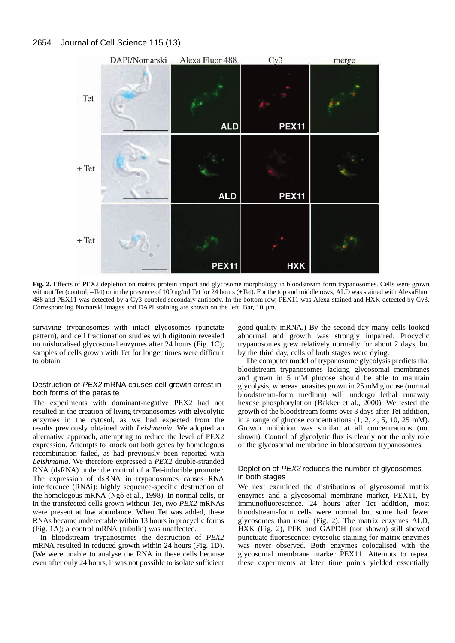

**Fig. 2.** Effects of PEX2 depletion on matrix protein import and glycosome morphology in bloodstream form trypanosomes. Cells were grown without Tet (control, –Tet) or in the presence of 100 ng/ml Tet for 24 hours (+Tet). For the top and middle rows, ALD was stained with AlexaFluor 488 and PEX11 was detected by a Cy3-coupled secondary antibody. In the bottom row, PEX11 was Alexa-stained and HXK detected by Cy3. Corresponding Nomarski images and DAPI staining are shown on the left. Bar, 10 µm.

surviving trypanosomes with intact glycosomes (punctate pattern), and cell fractionation studies with digitonin revealed no mislocalised glycosomal enzymes after 24 hours (Fig. 1C); samples of cells grown with Tet for longer times were difficult to obtain.

## Destruction of PEX2 mRNA causes cell-growth arrest in both forms of the parasite

The experiments with dominant-negative PEX2 had not resulted in the creation of living trypanosomes with glycolytic enzymes in the cytosol, as we had expected from the results previously obtained with *Leishmania*. We adopted an alternative approach, attempting to reduce the level of PEX2 expression. Attempts to knock out both genes by homologous recombination failed, as had previously been reported with *Leishmania*. We therefore expressed a *PEX2* double-stranded RNA (dsRNA) under the control of a Tet-inducible promoter. The expression of dsRNA in trypanosomes causes RNA interference (RNAi): highly sequence-specific destruction of the homologous mRNA (Ngô et al., 1998). In normal cells, or in the transfected cells grown without Tet, two *PEX2* mRNAs were present at low abundance. When Tet was added, these RNAs became undetectable within 13 hours in procyclic forms (Fig. 1A); a control mRNA (tubulin) was unaffected.

In bloodstream trypanosomes the destruction of *PEX2* mRNA resulted in reduced growth within 24 hours (Fig. 1D). (We were unable to analyse the RNA in these cells because even after only 24 hours, it was not possible to isolate sufficient good-quality mRNA.) By the second day many cells looked abnormal and growth was strongly impaired. Procyclic trypanosomes grew relatively normally for about 2 days, but by the third day, cells of both stages were dying.

The computer model of trypanosome glycolysis predicts that bloodstream trypanosomes lacking glycosomal membranes and grown in 5 mM glucose should be able to maintain glycolysis, whereas parasites grown in 25 mM glucose (normal bloodstream-form medium) will undergo lethal runaway hexose phosphorylation (Bakker et al., 2000). We tested the growth of the bloodstream forms over 3 days after Tet addition, in a range of glucose concentrations (1, 2, 4, 5, 10, 25 mM). Growth inhibition was similar at all concentrations (not shown). Control of glycolytic flux is clearly not the only role of the glycosomal membrane in bloodstream trypanosomes.

## Depletion of PEX2 reduces the number of glycosomes in both stages

We next examined the distributions of glycosomal matrix enzymes and a glycosomal membrane marker, PEX11, by immunofluorescence. 24 hours after Tet addition, most bloodstream-form cells were normal but some had fewer glycosomes than usual (Fig. 2). The matrix enzymes ALD, HXK (Fig. 2), PFK and GAPDH (not shown) still showed punctuate fluorescence; cytosolic staining for matrix enzymes was never observed. Both enzymes colocalised with the glycosomal membrane marker PEX11. Attempts to repeat these experiments at later time points yielded essentially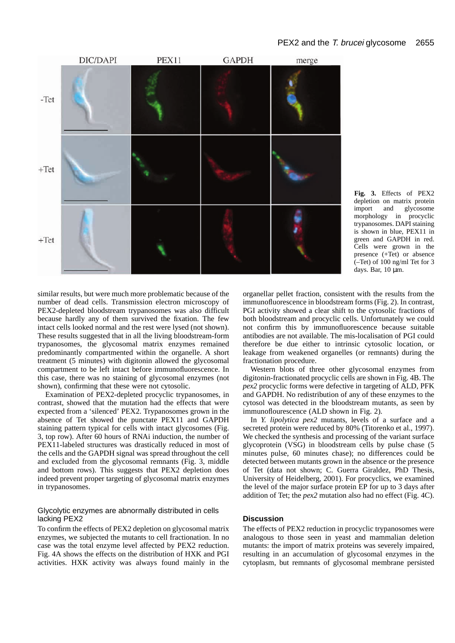

**Fig. 3.** Effects of PEX2 depletion on matrix protein<br>import and glycosome and glycosome morphology in procyclic trypanosomes. DAPI staining is shown in blue, PEX11 in green and GAPDH in red. Cells were grown in the presence (+Tet) or absence  $(-Tet)$  of 100 ng/ml Tet for 3 days. Bar, 10 µm.

similar results, but were much more problematic because of the number of dead cells. Transmission electron microscopy of PEX2-depleted bloodstream trypanosomes was also difficult because hardly any of them survived the fixation. The few intact cells looked normal and the rest were lysed (not shown). These results suggested that in all the living bloodstream-form trypanosomes, the glycosomal matrix enzymes remained predominantly compartmented within the organelle. A short treatment (5 minutes) with digitonin allowed the glycosomal compartment to be left intact before immunofluorescence. In this case, there was no staining of glycosomal enzymes (not shown), confirming that these were not cytosolic.

Examination of PEX2-depleted procyclic trypanosomes, in contrast, showed that the mutation had the effects that were expected from a 'silenced' PEX2. Trypanosomes grown in the absence of Tet showed the punctate PEX11 and GAPDH staining pattern typical for cells with intact glycosomes (Fig. 3, top row). After 60 hours of RNAi induction, the number of PEX11-labeled structures was drastically reduced in most of the cells and the GAPDH signal was spread throughout the cell and excluded from the glycosomal remnants (Fig. 3, middle and bottom rows). This suggests that PEX2 depletion does indeed prevent proper targeting of glycosomal matrix enzymes in trypanosomes.

## Glycolytic enzymes are abnormally distributed in cells lacking PEX2

To confirm the effects of PEX2 depletion on glycosomal matrix enzymes, we subjected the mutants to cell fractionation. In no case was the total enzyme level affected by PEX2 reduction. Fig. 4A shows the effects on the distribution of HXK and PGI activities. HXK activity was always found mainly in the organellar pellet fraction, consistent with the results from the immunofluorescence in bloodstream forms (Fig. 2). In contrast, PGI activity showed a clear shift to the cytosolic fractions of both bloodstream and procyclic cells. Unfortunately we could not confirm this by immunofluorescence because suitable antibodies are not available. The mis-localisation of PGI could therefore be due either to intrinsic cytosolic location, or leakage from weakened organelles (or remnants) during the fractionation procedure.

Western blots of three other glycosomal enzymes from digitonin-fractionated procyclic cells are shown in Fig. 4B. The *pex2* procyclic forms were defective in targeting of ALD, PFK and GAPDH. No redistribution of any of these enzymes to the cytosol was detected in the bloodstream mutants, as seen by immunoflourescence (ALD shown in Fig. 2).

In *Y. lipolytica pex2* mutants, levels of a surface and a secreted protein were reduced by 80% (Titorenko et al., 1997). We checked the synthesis and processing of the variant surface glycoprotein (VSG) in bloodstream cells by pulse chase (5 minutes pulse, 60 minutes chase); no differences could be detected between mutants grown in the absence or the presence of Tet (data not shown; C. Guerra Giraldez, PhD Thesis, University of Heidelberg, 2001). For procyclics, we examined the level of the major surface protein EP for up to 3 days after addition of Tet; the *pex2* mutation also had no effect (Fig. 4C).

# **Discussion**

The effects of PEX2 reduction in procyclic trypanosomes were analogous to those seen in yeast and mammalian deletion mutants: the import of matrix proteins was severely impaired, resulting in an accumulation of glycosomal enzymes in the cytoplasm, but remnants of glycosomal membrane persisted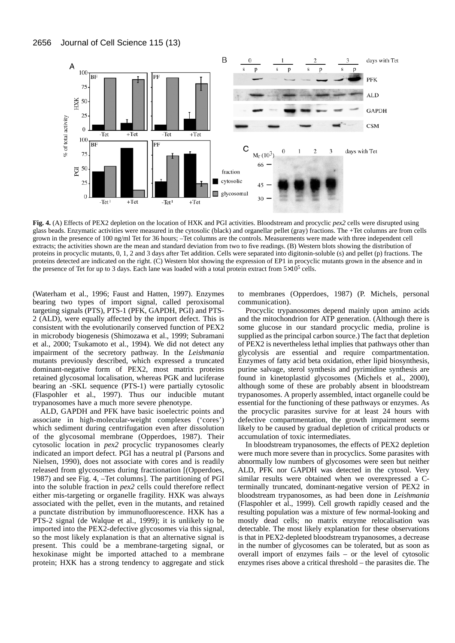

**Fig. 4.** (A) Effects of PEX2 depletion on the location of HXK and PGI activities. Bloodstream and procyclic *pex2* cells were disrupted using glass beads. Enzymatic activities were measured in the cytosolic (black) and organellar pellet (gray) fractions. The +Tet columns are from cells grown in the presence of 100 ng/ml Tet for 36 hours; –Tet columns are the controls. Measurements were made with three independent cell extracts; the activities shown are the mean and standard deviation from two to five readings. (B) Western blots showing the distribution of proteins in procyclic mutants, 0, 1, 2 and 3 days after Tet addition. Cells were separated into digitonin-soluble (s) and pellet (p) fractions. The proteins detected are indicated on the right. (C) Western blot showing the expression of EP1 in procyclic mutants grown in the absence and in the presence of Tet for up to 3 days. Each lane was loaded with a total protein extract from  $5\times10^5$  cells.

(Waterham et al., 1996; Faust and Hatten, 1997). Enzymes bearing two types of import signal, called peroxisomal targeting signals (PTS), PTS-1 (PFK, GAPDH, PGI) and PTS-2 (ALD), were equally affected by the import defect. This is consistent with the evolutionarily conserved function of PEX2 in microbody biogenesis (Shimozawa et al., 1999; Subramani et al., 2000; Tsukamoto et al., 1994). We did not detect any impairment of the secretory pathway. In the *Leishmania* mutants previously described, which expressed a truncated dominant-negative form of PEX2, most matrix proteins retained glycosomal localisation, whereas PGK and luciferase bearing an -SKL sequence (PTS-1) were partially cytosolic (Flaspohler et al., 1997). Thus our inducible mutant trypanosomes have a much more severe phenotype.

ALD, GAPDH and PFK have basic isoelectric points and associate in high-molecular-weight complexes ('cores') which sediment during centrifugation even after dissolution of the glycosomal membrane (Opperdoes, 1987). Their cytosolic location in *pex2* procyclic trypanosomes clearly indicated an import defect. PGI has a neutral pI (Parsons and Nielsen, 1990), does not associate with cores and is readily released from glycosomes during fractionation [(Opperdoes, 1987) and see Fig. 4, –Tet columns]. The partitioning of PGI into the soluble fraction in *pex2* cells could therefore reflect either mis-targeting or organelle fragility. HXK was always associated with the pellet, even in the mutants, and retained a punctate distribution by immunofluorescence. HXK has a PTS-2 signal (de Walque et al., 1999); it is unlikely to be imported into the PEX2-defective glycosomes via this signal, so the most likely explanation is that an alternative signal is present. This could be a membrane-targeting signal, or hexokinase might be imported attached to a membrane protein; HXK has a strong tendency to aggregate and stick to membranes (Opperdoes, 1987) (P. Michels, personal communication).

Procyclic trypanosomes depend mainly upon amino acids and the mitochondrion for ATP generation. (Although there is some glucose in our standard procyclic media, proline is supplied as the principal carbon source.) The fact that depletion of PEX2 is nevertheless lethal implies that pathways other than glycolysis are essential and require compartmentation. Enzymes of fatty acid beta oxidation, ether lipid biosynthesis, purine salvage, sterol synthesis and pyrimidine synthesis are found in kinetoplastid glycosomes (Michels et al., 2000), although some of these are probably absent in bloodstream trypanosomes. A properly assembled, intact organelle could be essential for the functioning of these pathways or enzymes. As the procyclic parasites survive for at least 24 hours with defective compartmentation, the growth impairment seems likely to be caused by gradual depletion of critical products or accumulation of toxic intermediates.

In bloodstream trypanosomes, the effects of PEX2 depletion were much more severe than in procyclics. Some parasites with abnormally low numbers of glycosomes were seen but neither ALD, PFK nor GAPDH was detected in the cytosol. Very similar results were obtained when we overexpressed a Cterminally truncated, dominant-negative version of PEX2 in bloodstream trypanosomes, as had been done in *Leishmania* (Flaspohler et al., 1999). Cell growth rapidly ceased and the resulting population was a mixture of few normal-looking and mostly dead cells; no matrix enzyme relocalisation was detectable. The most likely explanation for these observations is that in PEX2-depleted bloodstream trypanosomes, a decrease in the number of glycosomes can be tolerated, but as soon as overall import of enzymes fails – or the level of cytosolic enzymes rises above a critical threshold – the parasites die. The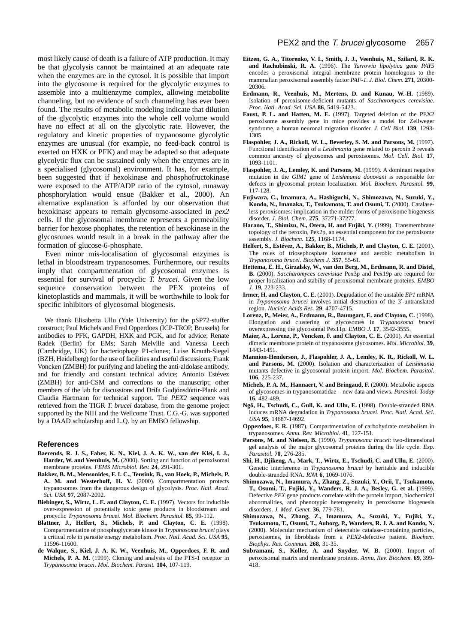most likely cause of death is a failure of ATP production. It may be that glycolysis cannot be maintained at an adequate rate when the enzymes are in the cytosol. It is possible that import into the glycosome is required for the glycolytic enzymes to assemble into a multienzyme complex, allowing metabolite channeling, but no evidence of such channeling has ever been found. The results of metabolic modeling indicate that dilution of the glycolytic enzymes into the whole cell volume would have no effect at all on the glycolytic rate. However, the regulatory and kinetic properties of trypanosome glycolytic enzymes are unusual (for example, no feed-back control is exerted on HXK or PFK) and may be adapted so that adequate glycolytic flux can be sustained only when the enzymes are in a specialised (glycosomal) environment. It has, for example, been suggested that if hexokinase and phosphofructokinase were exposed to the ATP/ADP ratio of the cytosol, runaway phosphorylation would ensue (Bakker et al., 2000). An alternative explanation is afforded by our observation that hexokinase appears to remain glycosome-associated in *pex2* cells. If the glycosomal membrane represents a permeability barrier for hexose phophates, the retention of hexokinase in the glycosomes would result in a break in the pathway after the formation of glucose-6-phosphate.

Even minor mis-localisation of glycosomal enzymes is lethal in bloodstream trypanosomes. Furthermore, our results imply that compartmentation of glycosomal enzymes is essential for survival of procyclic *T. brucei*. Given the low sequence conservation between the PEX proteins of kinetoplastids and mammals, it will be worthwhile to look for specific inhibitors of glycosomal biogenesis.

We thank Elisabetta Ullu (Yale University) for the pSP72-stuffer construct; Paul Michels and Fred Opperdoes (ICP-TROP, Brussels) for antibodies to PFK, GAPDH, HXK and PGK, and for advice; Renate Radek (Berlin) for EMs; Sarah Melville and Vanessa Leech (Cambridge, UK) for bacteriophage P1-clones; Luise Krauth-Siegel (BZH, Heidelberg) for the use of facilities and useful discussions; Frank Voncken (ZMBH) for purifying and labeling the anti-aldolase antibody, and for friendly and constant technical advice; Antonio Estévez (ZMBH) for anti-CSM and corrections to the manuscript; other members of the lab for discussions and Drífa Gudjónsdóttir-Plank and Claudia Hartmann for technical support. The *PEX2* sequence was retrieved from the TIGR *T. brucei* database, from the genome project supported by the NIH and the Wellcome Trust. C.G.-G. was supported by a DAAD scholarship and L.Q. by an EMBO fellowship.

#### **References**

- **Baerends, R. J. S., Faber, K. N., Kiel, J. A. K. W., van der Klei, I. J.,** Harder, W. and Veenhuis, M. (2000). Sorting and function of peroxisomal membrane proteins. *FEMS Microbiol. Rev.* **24**, 291-301.
- **Bakker, B. M., Mensonides, F. I. C., Teusink, B., van Hoek, P., Michels, P. A. M. and Westerhoff, H. V.** (2000). Compartmentation protects trypanosomes from the dangerous design of glycolysis. *Proc. Natl. Acad. Sci. USA* **97**, 2087-2092.
- Biebinger, S., Wirtz, L. E. and Clayton, C. E. (1997). Vectors for inducible over-expression of potentially toxic gene products in bloodstream and procyclic *Trypanosoma brucei*. *Mol. Biochem. Parasitol.* **85**, 99-112.
- **Blattner, J., Helfert, S., Michels, P. and Clayton, C. E.** (1998). Compartmentation of phosphoglycerate kinase in *Trypanosoma brucei* plays a critical role in parasite energy metabolism. *Proc. Natl. Acad. Sci. USA* **95**, 11596-11600.
- **de Walque, S., Kiel, J. A. K. W., Veenhuis, M., Opperdoes, F. R. and Michels, P. A. M.** (1999). Cloning and analysis of the PTS-1 receptor in *Trypanosoma brucei*. *Mol. Biochem. Parasit.* **104**, 107-119.
- **Eitzen, G. A., Titorenko, V. I., Smith, J. J., Veenhuis, M., Szilard, R. K. and Rachubinski, R. A.** (1996). The *Yarrowia lipolytica* gene *PAY5* encodes a peroxisomal integral membrane protein homologous to the mammalian peroxisomal assembly factor *PAF-1*. *J. Biol. Chem.* **271**, 20300- 20306.
- **Erdmann, R., Veenhuis, M., Mertens, D. and Kunau, W.-H.** (1989). Isolation of peroxisome-deficient mutants of *Saccharomyces cerevisiae*. *Proc. Natl. Acad. Sci. USA* **86**, 5419-5423.
- Faust, P. L. and Hatten, M. E. (1997). Targeted deletion of the PEX2 peroxisome assembly gene in mice provides a model for Zellweger syndrome, a human neuronal migration disorder. *J. Cell Biol.* **139**, 1293- 1305.
- **Flaspohler, J. A., Rickoll, W. L., Beverley, S. M. and Parsons, M.** (1997). Functional identification of a *Leishmania* gene related to peroxin 2 reveals common ancestry of glycosomes and peroxisomes. *Mol. Cell. Biol.* **17**, 1093-1101.
- Flaspohler, J. A., Lemley, K. and Parsons, M. (1999). A dominant negative mutation in the *GIM1* gene of *Leishmania donovani* is responsible for defects in glycosomal protein localization. *Mol. Biochem. Parasitol.* **99**, 117-128.
- **Fujiwara, C., Imamura, A., Hashiguchi, N., Shimozawa, N., Suzuki, Y.,** Kondo, N., Imanaka, T., Tsukamoto, T. and Osumi, T. (2000). Catalaseless peroxisomes: implication in the milder forms of peroxisome biogenesis disorder. *J. Biol. Chem.* **275**, 37271-37277.
- Harano, T., Shimizu, N., Otera, H. and Fujiki, Y. (1999). Transmembrane topology of the peroxin, Pex2p, an essential component for the peroxisome assembly. *J. Biochem.* **125**, 1168-1174.
- **Helfert, S., Estévez, A., Bakker, B., Michels, P. and Clayton, C. E.** (2001). The roles of triosephosphate isomerase and aerobic metabolism in *Trypanosoma brucei*. *Biochem J.* **357**, 55-61.
- **Hettema, E. H., Girzalsky, W., van den Berg, M., Erdmann, R. and Distel, B.** (2000). *Saccharomyces cerevisiae* Pex3p and Pex19p are required for proper localization and stabiliy of peroxisomal membrane proteins. *EMBO J.* **19**, 223-233.
- **Irmer, H. and Clayton, C. E.** (2001). Degradation of the unstable *EP1* mRNA in *Trypanosoma brucei* involves initial destruction of the 3′-untranslated region. *Nucleic Acids Res.* **29**, 4707-4715.
- **Lorenz, P., Meier, A., Erdmann, R., Baumgart, E. and Clayton, C.** (1998). Elongation and clustering of glycosomes in *Trypanosoma brucei* overexpressing the glycosomal Pex11p. *EMBO J.* **17**, 3542-3555.
- Maier, A., Lorenz, P., Voncken, F. and Clayton, C. E. (2001). An essential dimeric membrane protein of trypanosome glycosomes. *Mol. Microbiol.* **39**, 1443-1451.
- **Mannion-Henderson, J., Flaspohler, J. A., Lemley, K. R., Rickoll, W. L. and Parsons, M.** (2000). Isolation and characterization of *Leishmania* mutants defective in glycosomal protein import. *Mol. Biochem. Parasitol.* **106**, 225-237.
- **Michels, P. A. M., Hannaert, V. and Bringaud, F. (2000). Metabolic aspects** of glycosomes in trypanosomatidae – new data and views. *Parasitol. Today* **16**, 482-489.
- **Ngô, H., Tschudi, C., Gull, K. and Ullu, E.** (1998). Double-stranded RNA induces mRNA degradation in *Trypanosoma brucei*. *Proc. Natl. Acad. Sci. USA* **95**, 14687-14692.
- **Opperdoes, F. R.** (1987). Compartmentation of carbohydrate metabolism in trypanosomes. *Annu. Rev. Microbiol.* **41**, 127-151.
- **Parsons, M. and Nielsen, B.** (1990). *Trypanosoma brucei*: two-dimensional gel analysis of the major glycosomal proteins during the life cycle. *Exp. Parasitol.* **70**, 276-285.
- **Shi, H., Djikeng, A., Mark, T., Wirtz, E., Tschudi, C. and Ullu, E.** (2000). Genetic interference in *Trypanosoma brucei* by heritable and inducible double-stranded RNA. *RNA* **6**, 1069-1076.
- **Shimozawa, N., Imamura, A., Zhang, Z., Suzuki, Y., Orii, T., Tsukamoto, T., Osumi, T., Fujiki, Y., Wanders, R. J. A., Besley, G. et al. (**1999). Defective *PEX* gene products correlate with the protein import, biochemical abcormalities, and phenotypic heterogeneity in peroxisome biogenesis disorders. *J. Med. Genet.* **36**, 779-781.
- **Shimozawa, N., Zhang, Z., Imamura, A., Suzuki, Y., Fujiki, Y., Tsukamoto, T., Osumi, T., Auborg, P., Wanders, R. J. A. and Kondo, N.** (2000). Molecular mechanism of detectable catalase-containing particles, peroxisomes, in fibroblasts from a *PEX2*-defective patient. *Biochem. Biophys. Res. Commun.* **268**, 31-35.
- Subramani, S., Koller, A. and Snyder, W. B. (2000). Import of peroxisomal matrix and membrane proteins. *Annu. Rev. Biochem.* **69**, 399- 418.